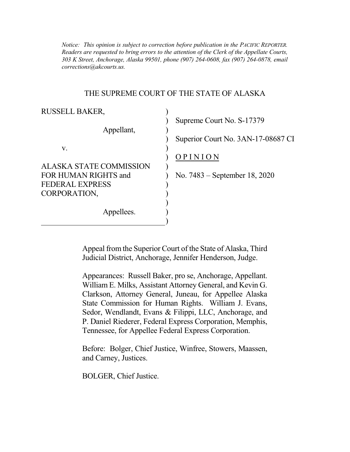*Notice: This opinion is subject to correction before publication in the PACIFIC REPORTER. Readers are requested to bring errors to the attention of the Clerk of the Appellate Courts, 303 K Street, Anchorage, Alaska 99501, phone (907) 264-0608, fax (907) 264-0878, email corrections@akcourts.us.* 

## THE SUPREME COURT OF THE STATE OF ALASKA

| <b>RUSSELL BAKER,</b>          |                                    |
|--------------------------------|------------------------------------|
|                                | Supreme Court No. S-17379          |
| Appellant,                     |                                    |
|                                | Superior Court No. 3AN-17-08687 CI |
| V.                             |                                    |
|                                | OPINION                            |
| <b>ALASKA STATE COMMISSION</b> |                                    |
| FOR HUMAN RIGHTS and           | No. $7483$ – September 18, 2020    |
| <b>FEDERAL EXPRESS</b>         |                                    |
| CORPORATION,                   |                                    |
|                                |                                    |
| Appellees.                     |                                    |
|                                |                                    |

 Appeal from the Superior Court of the State of Alaska, Third Judicial District, Anchorage, Jennifer Henderson, Judge.

 Appearances: Russell Baker, pro se, Anchorage, Appellant. William E. Milks, Assistant Attorney General, and Kevin G. Clarkson, Attorney General, Juneau, for Appellee Alaska State Commission for Human Rights. William J. Evans, Sedor, Wendlandt, Evans & Filippi, LLC, Anchorage, and P. Daniel Riederer, Federal Express Corporation, Memphis, Tennessee, for Appellee Federal Express Corporation.

 Before: Bolger, Chief Justice, Winfree, Stowers, Maassen, and Carney, Justices.

BOLGER, Chief Justice.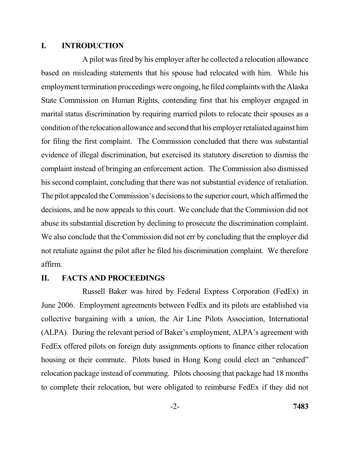### **I. INTRODUCTION**

 A pilot was fired by his employer after he collected a relocation allowance based on misleading statements that his spouse had relocated with him. While his employment termination proceedings were ongoing, he filed complaints with the Alaska State Commission on Human Rights, contending first that his employer engaged in marital status discrimination by requiring married pilots to relocate their spouses as a condition of the relocation allowance and second that his employer retaliated against him for filing the first complaint. The Commission concluded that there was substantial evidence of illegal discrimination, but exercised its statutory discretion to dismiss the complaint instead of bringing an enforcement action. The Commission also dismissed his second complaint, concluding that there was not substantial evidence of retaliation. The pilot appealed the Commission's decisions to the superior court, which affirmed the decisions, and he now appeals to this court. We conclude that the Commission did not abuse its substantial discretion by declining to prosecute the discrimination complaint. We also conclude that the Commission did not err by concluding that the employer did not retaliate against the pilot after he filed his discrimination complaint. We therefore affirm.

### **II. FACTS AND PROCEEDINGS**

 Russell Baker was hired by Federal Express Corporation (FedEx) in June 2006. Employment agreements between FedEx and its pilots are established via collective bargaining with a union, the Air Line Pilots Association, International (ALPA). During the relevant period of Baker's employment, ALPA's agreement with FedEx offered pilots on foreign duty assignments options to finance either relocation housing or their commute. Pilots based in Hong Kong could elect an "enhanced" relocation package instead of commuting. Pilots choosing that package had 18 months to complete their relocation, but were obligated to reimburse FedEx if they did not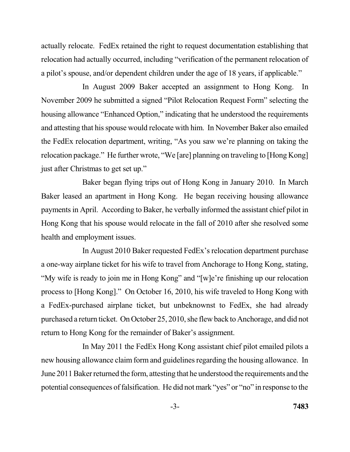actually relocate. FedEx retained the right to request documentation establishing that relocation had actually occurred, including "verification of the permanent relocation of a pilot's spouse, and/or dependent children under the age of 18 years, if applicable."

 In August 2009 Baker accepted an assignment to Hong Kong. In November 2009 he submitted a signed "Pilot Relocation Request Form" selecting the housing allowance "Enhanced Option," indicating that he understood the requirements and attesting that his spouse would relocate with him. In November Baker also emailed the FedEx relocation department, writing, "As you saw we're planning on taking the relocation package." He further wrote, "We [are] planning on traveling to [Hong Kong] just after Christmas to get set up."

 Baker began flying trips out of Hong Kong in January 2010. In March Baker leased an apartment in Hong Kong. He began receiving housing allowance payments in April. According to Baker, he verbally informed the assistant chief pilot in Hong Kong that his spouse would relocate in the fall of 2010 after she resolved some health and employment issues.

 In August 2010 Baker requested FedEx's relocation department purchase a one-way airplane ticket for his wife to travel from Anchorage to Hong Kong, stating, "My wife is ready to join me in Hong Kong" and "[w]e're finishing up our relocation process to [Hong Kong]." On October 16, 2010, his wife traveled to Hong Kong with a FedEx-purchased airplane ticket, but unbeknownst to FedEx, she had already purchased a return ticket. On October 25, 2010, she flew back to Anchorage, and did not return to Hong Kong for the remainder of Baker's assignment.

 new housing allowance claim form and guidelines regarding the housing allowance. In June 2011 Baker returned the form, attesting that he understood the requirements and the potential consequences of falsification. He did not mark "yes" or "no" in response to the In May 2011 the FedEx Hong Kong assistant chief pilot emailed pilots a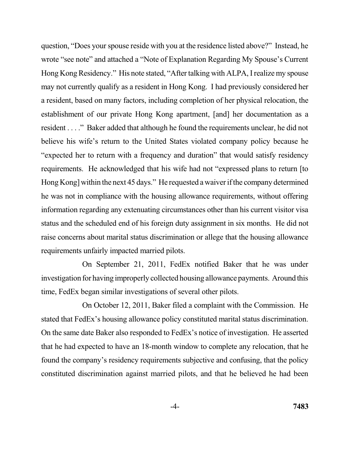question, "Does your spouse reside with you at the residence listed above?" Instead, he wrote "see note" and attached a "Note of Explanation Regarding My Spouse's Current Hong Kong Residency." His note stated, "After talking with ALPA, I realize my spouse may not currently qualify as a resident in Hong Kong. I had previously considered her a resident, based on many factors, including completion of her physical relocation, the establishment of our private Hong Kong apartment, [and] her documentation as a resident . . . ." Baker added that although he found the requirements unclear, he did not believe his wife's return to the United States violated company policy because he "expected her to return with a frequency and duration" that would satisfy residency requirements. He acknowledged that his wife had not "expressed plans to return [to Hong Kong] within the next 45 days." He requested a waiver if the company determined he was not in compliance with the housing allowance requirements, without offering information regarding any extenuating circumstances other than his current visitor visa status and the scheduled end of his foreign duty assignment in six months. He did not raise concerns about marital status discrimination or allege that the housing allowance requirements unfairly impacted married pilots.

 On September 21, 2011, FedEx notified Baker that he was under investigation for having improperly collected housing allowance payments. Around this time, FedEx began similar investigations of several other pilots.

 On October 12, 2011, Baker filed a complaint with the Commission. He stated that FedEx's housing allowance policy constituted marital status discrimination. On the same date Baker also responded to FedEx's notice of investigation. He asserted that he had expected to have an 18-month window to complete any relocation, that he constituted discrimination against married pilots, and that he believed he had been found the company's residency requirements subjective and confusing, that the policy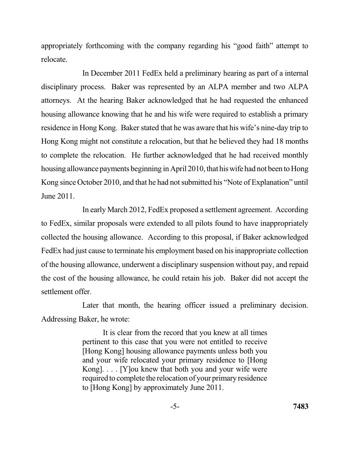appropriately forthcoming with the company regarding his "good faith" attempt to relocate.

 disciplinary process. Baker was represented by an ALPA member and two ALPA attorneys. At the hearing Baker acknowledged that he had requested the enhanced housing allowance knowing that he and his wife were required to establish a primary residence in Hong Kong. Baker stated that he was aware that his wife's nine-day trip to Hong Kong might not constitute a relocation, but that he believed they had 18 months to complete the relocation. He further acknowledged that he had received monthly housing allowance payments beginning in April 2010, that his wife had not been to Hong Kong since October 2010, and that he had not submitted his "Note of Explanation" until June 2011. In December 2011 FedEx held a preliminary hearing as part of a internal

 In early March 2012, FedEx proposed a settlement agreement. According to FedEx, similar proposals were extended to all pilots found to have inappropriately collected the housing allowance. According to this proposal, if Baker acknowledged FedEx had just cause to terminate his employment based on his inappropriate collection of the housing allowance, underwent a disciplinary suspension without pay, and repaid the cost of the housing allowance, he could retain his job. Baker did not accept the settlement offer.

 Later that month, the hearing officer issued a preliminary decision. Addressing Baker, he wrote:

> It is clear from the record that you knew at all times pertinent to this case that you were not entitled to receive [Hong Kong] housing allowance payments unless both you and your wife relocated your primary residence to [Hong Kong]. . . . [Y]ou knew that both you and your wife were required to complete the relocation of your primary residence to [Hong Kong] by approximately June 2011.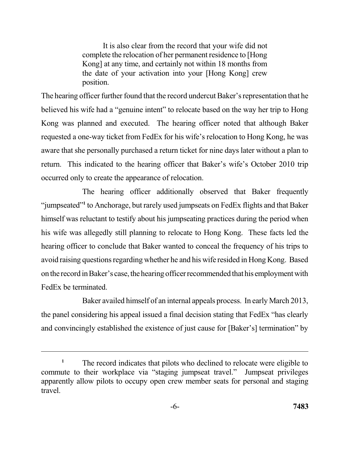It is also clear from the record that your wife did not complete the relocation of her permanent residence to [Hong Kong] at any time, and certainly not within 18 months from the date of your activation into your [Hong Kong] crew position.

 position. The hearing officer further found that the record undercut Baker's representation that he Kong was planned and executed. The hearing officer noted that although Baker requested a one-way ticket from FedEx for his wife's relocation to Hong Kong, he was aware that she personally purchased a return ticket for nine days later without a plan to return. This indicated to the hearing officer that Baker's wife's October 2010 trip occurred only to create the appearance of relocation. believed his wife had a "genuine intent" to relocate based on the way her trip to Hong

 The hearing officer additionally observed that Baker frequently "jumpseated"**<sup>1</sup>**to Anchorage, but rarely used jumpseats on FedEx flights and that Baker himself was reluctant to testify about his jumpseating practices during the period when his wife was allegedly still planning to relocate to Hong Kong. These facts led the hearing officer to conclude that Baker wanted to conceal the frequency of his trips to avoid raising questions regarding whether he and his wife resided in Hong Kong. Based on the record in Baker's case, the hearing officer recommended that his employment with FedEx be terminated.

 Baker availed himself of an internal appeals process. In early March 2013, the panel considering his appeal issued a final decision stating that FedEx "has clearly and convincingly established the existence of just cause for [Baker's] termination" by

<sup>&</sup>lt;sup>1</sup> The record indicates that pilots who declined to relocate were eligible to commute to their workplace via "staging jumpseat travel." Jumpseat privileges apparently allow pilots to occupy open crew member seats for personal and staging travel.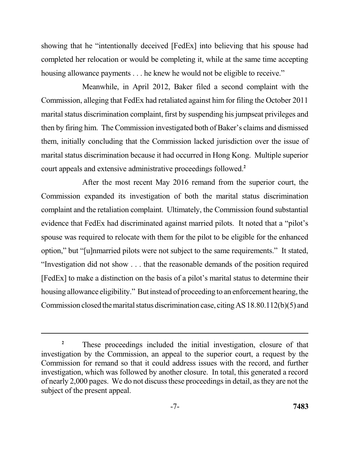showing that he "intentionally deceived [FedEx] into believing that his spouse had completed her relocation or would be completing it, while at the same time accepting housing allowance payments . . . he knew he would not be eligible to receive."

 Meanwhile, in April 2012, Baker filed a second complaint with the Commission, alleging that FedEx had retaliated against him for filing the October 2011 marital status discrimination complaint, first by suspending his jumpseat privileges and then by firing him. The Commission investigated both of Baker's claims and dismissed them, initially concluding that the Commission lacked jurisdiction over the issue of marital status discrimination because it had occurred in Hong Kong. Multiple superior court appeals and extensive administrative proceedings followed.**<sup>2</sup>**

 After the most recent May 2016 remand from the superior court, the Commission expanded its investigation of both the marital status discrimination complaint and the retaliation complaint. Ultimately, the Commission found substantial evidence that FedEx had discriminated against married pilots. It noted that a "pilot's spouse was required to relocate with them for the pilot to be eligible for the enhanced option," but "[u]nmarried pilots were not subject to the same requirements." It stated, "Investigation did not show . . . that the reasonable demands of the position required [FedEx] to make a distinction on the basis of a pilot's marital status to determine their housing allowance eligibility." But instead of proceeding to an enforcement hearing, the Commission closed the marital status discrimination case, citing AS18.80.112(b)(5) and

<sup>&</sup>lt;sup>2</sup> These proceedings included the initial investigation, closure of that investigation by the Commission, an appeal to the superior court, a request by the Commission for remand so that it could address issues with the record, and further investigation, which was followed by another closure. In total, this generated a record of nearly 2,000 pages. We do not discuss these proceedings in detail, as they are not the subject of the present appeal.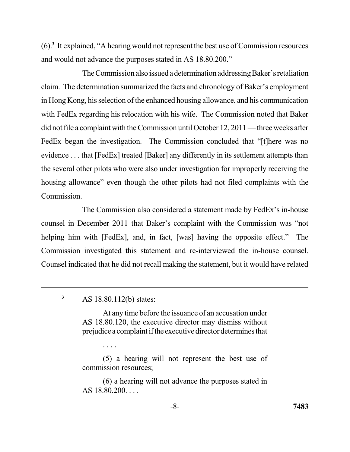(6).**<sup>3</sup>**It explained, "A hearing would not represent the best use of Commission resources and would not advance the purposes stated in AS 18.80.200."

The Commission also issued a determination addressing Baker's retaliation claim. The determination summarized the facts and chronology of Baker's employment in Hong Kong, his selection of the enhanced housing allowance, and his communication with FedEx regarding his relocation with his wife. The Commission noted that Baker did not file a complaint with the Commission until October 12, 2011 — three weeks after FedEx began the investigation. The Commission concluded that "[t]here was no evidence . . . that [FedEx] treated [Baker] any differently in its settlement attempts than the several other pilots who were also under investigation for improperly receiving the housing allowance" even though the other pilots had not filed complaints with the Commission.

 Commission. The Commission also considered a statement made by FedEx's in-house counsel in December 2011 that Baker's complaint with the Commission was "not helping him with [FedEx], and, in fact, [was] having the opposite effect." The Commission investigated this statement and re-interviewed the in-house counsel. Counsel indicated that he did not recall making the statement, but it would have related

<sup>3</sup> AS 18.80.112(b) states:

. . . .

 At any time before the issuance of an accusation under AS 18.80.120, the executive director may dismiss without prejudice a complaint if the executive director determines that

 (5) a hearing will not represent the best use of commission resources;

 (6) a hearing will not advance the purposes stated in AS 18.80.200. . . .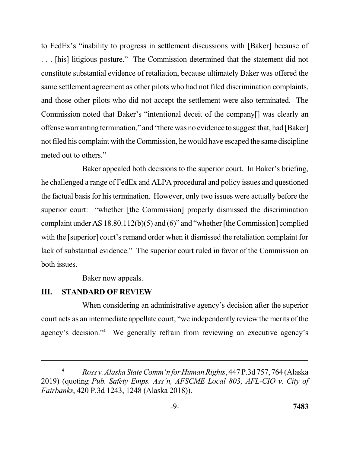to FedEx's "inability to progress in settlement discussions with [Baker] because of . . . [his] litigious posture." The Commission determined that the statement did not constitute substantial evidence of retaliation, because ultimately Baker was offered the same settlement agreement as other pilots who had not filed discrimination complaints, and those other pilots who did not accept the settlement were also terminated. The Commission noted that Baker's "intentional deceit of the company[] was clearly an offense warranting termination," and "there was no evidence to suggest that, had [Baker] not filed his complaint with the Commission, he would have escaped the same discipline meted out to others."

 Baker appealed both decisions to the superior court. In Baker's briefing, he challenged a range of FedEx and ALPA procedural and policy issues and questioned the factual basis for his termination. However, only two issues were actually before the superior court: "whether [the Commission] properly dismissed the discrimination complaint under AS 18.80.112(b)(5) and (6)" and "whether [the Commission] complied with the [superior] court's remand order when it dismissed the retaliation complaint for lack of substantial evidence." The superior court ruled in favor of the Commission on both issues.

Baker now appeals.

## **III. STANDARD OF REVIEW**

 When considering an administrative agency's decision after the superior court acts as an intermediate appellate court, "we independently review the merits of the agency's decision."<sup>4</sup> We generally refrain from reviewing an executive agency's

 **<sup>4</sup>***Rossv.Alaska State Comm'n for Human Rights*, 447 P.3d 757, 764 (Alaska 2019) (quoting *Pub. Safety Emps. Ass'n, AFSCME Local 803, AFL-CIO v. City of Fairbanks*, 420 P.3d 1243, 1248 (Alaska 2018)).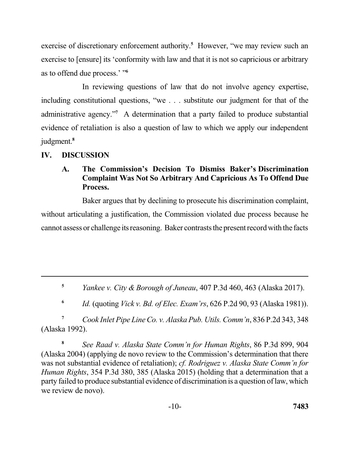exercise of discretionary enforcement authority.<sup>5</sup> However, "we may review such an exercise to [ensure] its 'conformity with law and that it is not so capricious or arbitrary as to offend due process.' "**<sup>6</sup>**

 In reviewing questions of law that do not involve agency expertise, including constitutional questions, "we . . . substitute our judgment for that of the administrative agency."**<sup>7</sup>**A determination that a party failed to produce substantial evidence of retaliation is also a question of law to which we apply our independent judgment.**<sup>8</sup>**

## **IV. DISCUSSION**

#### $\mathbf{A}$ .  **Complaint Was Not So Arbitrary And Capricious As To Offend Due A. The Commission's Decision To Dismiss Baker's Discrimination Process.**

 Baker argues that by declining to prosecute his discrimination complaint, without articulating a justification, the Commission violated due process because he cannot assess or challenge its reasoning. Baker contrasts the present record with the facts

**<sup>5</sup>***Yankee v. City & Borough of Juneau*, 407 P.3d 460, 463 (Alaska 2017).

**<sup>6</sup>***Id.* (quoting *Vick v. Bd. of Elec. Exam'rs*, 626 P.2d 90, 93 (Alaska 1981)).

**<sup>7</sup>***Cook Inlet Pipe Line Co. v. Alaska Pub. Utils. Comm'n*, 836 P.2d 343, 348 (Alaska 1992).

**<sup>8</sup>***See Raad v. Alaska State Comm'n for Human Rights*, 86 P.3d 899, 904 (Alaska 2004) (applying de novo review to the Commission's determination that there was not substantial evidence of retaliation); *cf. Rodriguez v. Alaska State Comm'n for Human Rights*, 354 P.3d 380, 385 (Alaska 2015) (holding that a determination that a party failed to produce substantial evidence of discrimination is a question of law, which we review de novo).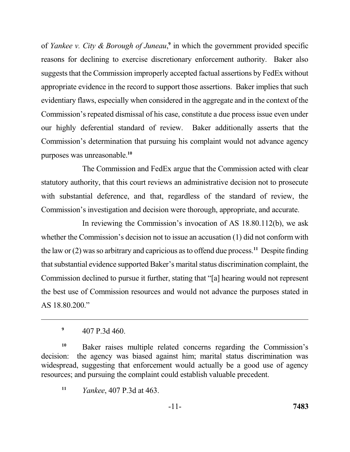of *Yankee v. City & Borough of Juneau*,<sup>9</sup> in which the government provided specific reasons for declining to exercise discretionary enforcement authority. Baker also suggests that the Commission improperly accepted factual assertions by FedEx without appropriate evidence in the record to support those assertions. Baker implies that such evidentiary flaws, especially when considered in the aggregate and in the context of the Commission's repeated dismissal of his case, constitute a due process issue even under our highly deferential standard of review. Baker additionally asserts that the Commission's determination that pursuing his complaint would not advance agency purposes was unreasonable.**<sup>10</sup>**

 The Commission and FedEx argue that the Commission acted with clear statutory authority, that this court reviews an administrative decision not to prosecute with substantial deference, and that, regardless of the standard of review, the Commission's investigation and decision were thorough, appropriate, and accurate.

 In reviewing the Commission's invocation of AS 18.80.112(b), we ask whether the Commission's decision not to issue an accusation (1) did not conform with the law or (2) was so arbitrary and capricious as to offend due process.<sup>11</sup> Despite finding that substantial evidence supported Baker's marital status discrimination complaint, the Commission declined to pursue it further, stating that "[a] hearing would not represent the best use of Commission resources and would not advance the purposes stated in AS 18.80.200."

 **<sup>9</sup>**407 P.3d 460.

<sup>&</sup>lt;sup>10</sup> Baker raises multiple related concerns regarding the Commission's decision: widespread, suggesting that enforcement would actually be a good use of agency resources; and pursuing the complaint could establish valuable precedent. the agency was biased against him; marital status discrimination was

 **<sup>11</sup>***Yankee*, 407 P.3d at 463.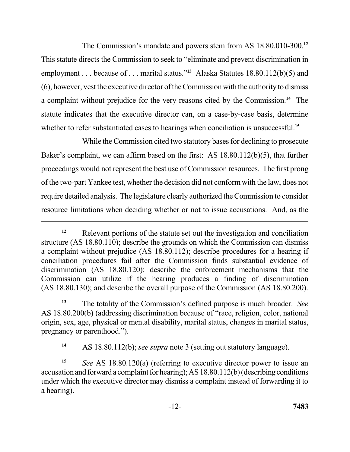The Commission's mandate and powers stem from AS 18.80.010-300.**<sup>12</sup>** This statute directs the Commission to seek to "eliminate and prevent discrimination in (6), however, vest the executive director of the Commission with the authority to dismiss a complaint without prejudice for the very reasons cited by the Commission.<sup>14</sup> The statute indicates that the executive director can, on a case-by-case basis, determine whether to refer substantiated cases to hearings when conciliation is unsuccessful.**<sup>15</sup>** employment . . . because of . . . marital status."**<sup>13</sup>** Alaska Statutes 18.80.112(b)(5) and

 While the Commission cited two statutory bases for declining to prosecute Baker's complaint, we can affirm based on the first: AS 18.80.112(b)(5), that further proceedings would not represent the best use of Commission resources. The first prong of the two-part Yankee test, whether the decision did not conform with the law, does not require detailed analysis. The legislature clearly authorized the Commission to consider resource limitations when deciding whether or not to issue accusations. And, as the

<sup>&</sup>lt;sup>12</sup> Relevant portions of the statute set out the investigation and conciliation structure (AS 18.80.110); describe the grounds on which the Commission can dismiss a complaint without prejudice (AS 18.80.112); describe procedures for a hearing if conciliation procedures fail after the Commission finds substantial evidence of discrimination (AS 18.80.120); describe the enforcement mechanisms that the Commission can utilize if the hearing produces a finding of discrimination (AS 18.80.130); and describe the overall purpose of the Commission (AS 18.80.200).

 **<sup>13</sup>**The totality of the Commission's defined purpose is much broader. *See*  AS 18.80.200(b) (addressing discrimination because of "race, religion, color, national pregnancy or parenthood."). origin, sex, age, physical or mental disability, marital status, changes in marital status,

<sup>&</sup>lt;sup>14</sup> AS 18.80.112(b); *see supra* note 3 (setting out statutory language).

 **<sup>15</sup>***See* AS 18.80.120(a) (referring to executive director power to issue an accusation and forward a complaint for hearing); AS 18.80.112(b) (describing conditions under which the executive director may dismiss a complaint instead of forwarding it to a hearing).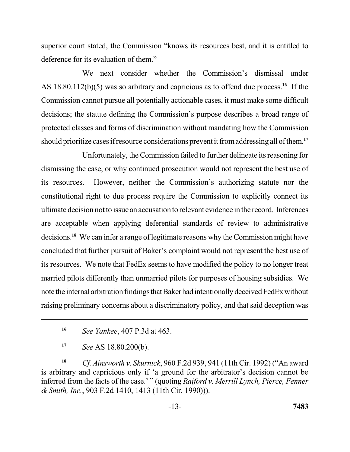superior court stated, the Commission "knows its resources best, and it is entitled to deference for its evaluation of them."

 We next consider whether the Commission's dismissal under AS 18.80.112(b)(5) was so arbitrary and capricious as to offend due process.<sup>16</sup> If the Commission cannot pursue all potentially actionable cases, it must make some difficult decisions; the statute defining the Commission's purpose describes a broad range of protected classes and forms of discrimination without mandating how the Commission should prioritize cases if resource considerations prevent it fromaddressing all of them.**<sup>17</sup>**

 Unfortunately, the Commission failed to further delineate its reasoning for its resources. constitutional right to due process require the Commission to explicitly connect its ultimate decision not to issue an accusation to relevant evidence in the record. Inferences are acceptable when applying deferential standards of review to administrative decisions.**<sup>18</sup>**We can infer a range of legitimate reasons why the Commission might have concluded that further pursuit of Baker's complaint would not represent the best use of its resources. We note that FedEx seems to have modified the policy to no longer treat married pilots differently than unmarried pilots for purposes of housing subsidies. We note the internal arbitration findings that Baker had intentionally deceived FedEx without raising preliminary concerns about a discriminatory policy, and that said deception was dismissing the case, or why continued prosecution would not represent the best use of However, neither the Commission's authorizing statute nor the

**<sup>18</sup>***Cf. Ainsworth v. Skurnick*, 960 F.2d 939, 941 (11th Cir. 1992) ("An award is arbitrary and capricious only if 'a ground for the arbitrator's decision cannot be inferred from the facts of the case.' " (quoting *Raiford v. Merrill Lynch, Pierce, Fenner & Smith, Inc.*, 903 F.2d 1410, 1413 (11th Cir. 1990))).

**<sup>16</sup>***See Yankee*, 407 P.3d at 463.

**<sup>17</sup>***See* AS 18.80.200(b).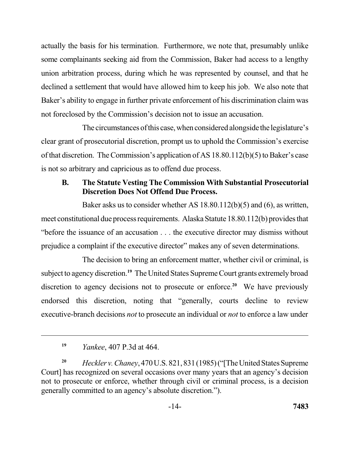actually the basis for his termination. Furthermore, we note that, presumably unlike some complainants seeking aid from the Commission, Baker had access to a lengthy union arbitration process, during which he was represented by counsel, and that he declined a settlement that would have allowed him to keep his job. We also note that Baker's ability to engage in further private enforcement of his discrimination claim was not foreclosed by the Commission's decision not to issue an accusation.

The circumstances of this case, when considered alongside the legislature's clear grant of prosecutorial discretion, prompt us to uphold the Commission's exercise of that discretion. The Commission's application of AS 18.80.112(b)(5) to Baker's case is not so arbitrary and capricious as to offend due process.

#### **B**.  **Discretion Does Not Offend Due Process. The Statute Vesting The Commission With Substantial Prosecutorial**

 Baker asks us to consider whether AS 18.80.112(b)(5) and (6), as written, meet constitutional due process requirements. Alaska Statute 18.80.112(b) provides that "before the issuance of an accusation . . . the executive director may dismiss without prejudice a complaint if the executive director" makes any of seven determinations.

 The decision to bring an enforcement matter, whether civil or criminal, is subject to agency discretion.**<sup>19</sup>**The United States Supreme Court grants extremely broad discretion to agency decisions not to prosecute or enforce.<sup>20</sup> We have previously endorsed this discretion, noting that "generally, courts decline to review executive-branch decisions *not* to prosecute an individual or *not* to enforce a law under

 **<sup>19</sup>***Yankee*, 407 P.3d at 464.

<sup>&</sup>lt;sup>20</sup> Heckler v. Chaney, 470 U.S. 821, 831 (1985) ("The United States Supreme Court] has recognized on several occasions over many years that an agency's decision not to prosecute or enforce, whether through civil or criminal process, is a decision generally committed to an agency's absolute discretion.").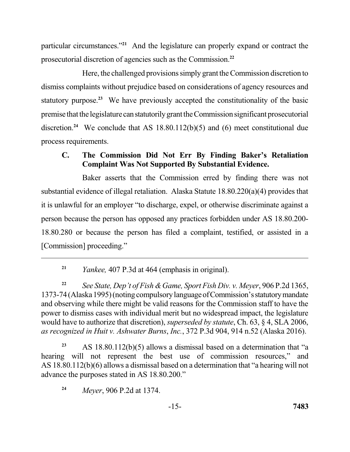particular circumstances.<sup>"21</sup> And the legislature can properly expand or contract the prosecutorial discretion of agencies such as the Commission.**<sup>22</sup>**

 Here, the challenged provisions simply grant the Commission discretion to dismiss complaints without prejudice based on considerations of agency resources and statutory purpose.<sup>23</sup> We have previously accepted the constitutionality of the basic premise that the legislature can statutorily grant the Commission significant prosecutorial discretion.<sup>24</sup> We conclude that AS  $18.80.112(b)(5)$  and  $(6)$  meet constitutional due process requirements.

# **C. The Commission Did Not Err By Finding Baker's Retaliation Complaint Was Not Supported By Substantial Evidence.**

 Baker asserts that the Commission erred by finding there was not substantial evidence of illegal retaliation. Alaska Statute 18.80.220(a)(4) provides that it is unlawful for an employer "to discharge, expel, or otherwise discriminate against a person because the person has opposed any practices forbidden under AS 18.80.200 18.80.280 or because the person has filed a complaint, testified, or assisted in a [Commission] proceeding."

**<sup>21</sup>***Yankee,* 407 P.3d at 464 (emphasis in original).

<sup>22</sup> See State, Dep't of Fish & Game, Sport Fish Div. v. Meyer, 906 P.2d 1365, 1373-74 (Alaska 1995) (noting compulsory language of Commission's statutory mandate and observing while there might be valid reasons for the Commission staff to have the power to dismiss cases with individual merit but no widespread impact, the legislature would have to authorize that discretion), *superseded by statute*, Ch. 63, § 4, SLA 2006,  *as recognized in Huit v. Ashwater Burns*, *Inc.*, 372 P.3d 904, 914 n.52 (Alaska 2016).

 **<sup>23</sup>**AS 18.80.112(b)(5) allows a dismissal based on a determination that "a hearing will not represent the best use of commission resources," and AS 18.80.112(b)(6) allows a dismissal based on a determination that "a hearing will not advance the purposes stated in AS 18.80.200."

**<sup>24</sup>***Meyer*, 906 P.2d at 1374.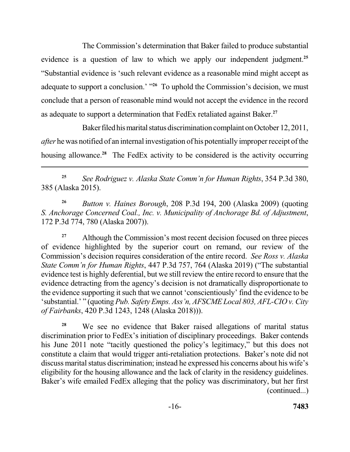The Commission's determination that Baker failed to produce substantial evidence is a question of law to which we apply our independent judgment.**<sup>25</sup>** adequate to support a conclusion.' "<sup>26</sup> To uphold the Commission's decision, we must conclude that a person of reasonable mind would not accept the evidence in the record as adequate to support a determination that FedEx retaliated against Baker.**<sup>27</sup>** "Substantial evidence is 'such relevant evidence as a reasonable mind might accept as

Baker filed his marital status discrimination complaint on October 12, 2011, *after* he was notified of an internal investigation of his potentially improper receipt of the housing allowance.**<sup>28</sup>**The FedEx activity to be considered is the activity occurring

 **<sup>25</sup>***See Rodriguez v. Alaska State Comm'n for Human Rights*, 354 P.3d 380, 385 (Alaska 2015).

<sup>26</sup> Button v. Haines Borough, 208 P.3d 194, 200 (Alaska 2009) (quoting  *S. Anchorage Concerned Coal., Inc. v. Municipality of Anchorage Bd. of Adjustment*, 172 P.3d 774, 780 (Alaska 2007)).

<sup>27</sup> Although the Commission's most recent decision focused on three pieces of evidence highlighted by the superior court on remand, our review of the Commission's decision requires consideration of the entire record. *See Ross v. Alaska State Comm'n for Human Rights*, 447 P.3d 757, 764 (Alaska 2019) ("The substantial evidence test is highly deferential, but we still review the entire record to ensure that the the evidence supporting it such that we cannot 'conscientiously' find the evidence to be 'substantial.' " (quoting *Pub. Safety Emps. Ass'n, AFSCME Local 803, AFL-CIO v. City of Fairbanks*, 420 P.3d 1243, 1248 (Alaska 2018))). evidence detracting from the agency's decision is not dramatically disproportionate to

<sup>28</sup> We see no evidence that Baker raised allegations of marital status discrimination prior to FedEx's initiation of disciplinary proceedings. Baker contends his June 2011 note "tacitly questioned the policy's legitimacy," but this does not constitute a claim that would trigger anti-retaliation protections. Baker's note did not discuss marital status discrimination; instead he expressed his concerns about his wife's eligibility for the housing allowance and the lack of clarity in the residency guidelines. Baker's wife emailed FedEx alleging that the policy was discriminatory, but her first (continued...)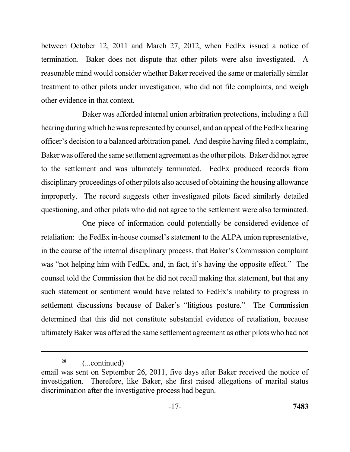between October 12, 2011 and March 27, 2012, when FedEx issued a notice of termination. Baker does not dispute that other pilots were also investigated. A reasonable mind would consider whether Baker received the same or materially similar treatment to other pilots under investigation, who did not file complaints, and weigh other evidence in that context.

 Baker was afforded internal union arbitration protections, including a full hearing during which he was represented by counsel, and an appeal of the FedEx hearing officer's decision to a balanced arbitration panel. And despite having filed a complaint, Baker was offered the same settlement agreement as the other pilots. Baker did not agree to the settlement and was ultimately terminated. FedEx produced records from disciplinary proceedings of other pilots also accused of obtaining the housing allowance improperly. The record suggests other investigated pilots faced similarly detailed questioning, and other pilots who did not agree to the settlement were also terminated.

 One piece of information could potentially be considered evidence of retaliation: the FedEx in-house counsel's statement to the ALPA union representative, in the course of the internal disciplinary process, that Baker's Commission complaint was "not helping him with FedEx, and, in fact, it's having the opposite effect." The such statement or sentiment would have related to FedEx's inability to progress in settlement discussions because of Baker's "litigious posture." The Commission determined that this did not constitute substantial evidence of retaliation, because ultimately Baker was offered the same settlement agreement as other pilots who had not counsel told the Commission that he did not recall making that statement, but that any

**<sup>28</sup>**(...continued)

 email was sent on September 26, 2011, five days after Baker received the notice of investigation. Therefore, like Baker, she first raised allegations of marital status discrimination after the investigative process had begun.